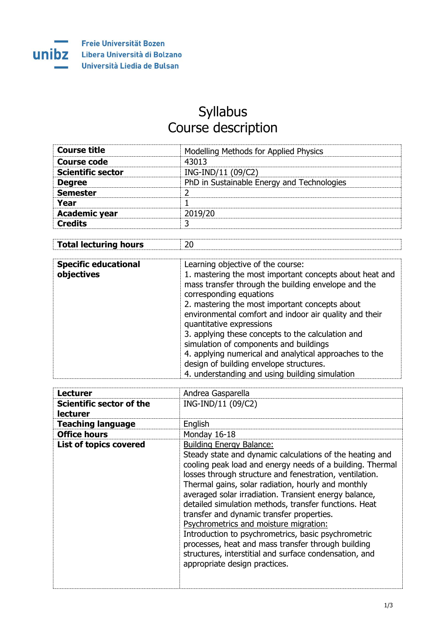## Syllabus Course description

| <b>Modelling Methods for Applied Physics</b> |
|----------------------------------------------|
| 43013                                        |
| ING-IND/11 (09/C2)                           |
| PhD in Sustainable Energy and Technologies   |
|                                              |
|                                              |
| 2019/20                                      |
|                                              |
|                                              |

| <b>Total lecturing hours</b> |  |
|------------------------------|--|
|                              |  |

| <b>Specific educational</b><br>objectives | Learning objective of the course:<br>1. mastering the most important concepts about heat and<br>mass transfer through the building envelope and the<br>corresponding equations<br>2. mastering the most important concepts about<br>environmental comfort and indoor air quality and their<br>quantitative expressions<br>3. applying these concepts to the calculation and<br>simulation of components and buildings<br>4. applying numerical and analytical approaches to the<br>design of building envelope structures.<br>4. understanding and using building simulation |
|-------------------------------------------|------------------------------------------------------------------------------------------------------------------------------------------------------------------------------------------------------------------------------------------------------------------------------------------------------------------------------------------------------------------------------------------------------------------------------------------------------------------------------------------------------------------------------------------------------------------------------|
|                                           |                                                                                                                                                                                                                                                                                                                                                                                                                                                                                                                                                                              |

| <b>Lecturer</b>                             | Andrea Gasparella                                                                                                                                                                                                                                                                                                                                                                                                                                                                                                                                                                                                                                                                          |
|---------------------------------------------|--------------------------------------------------------------------------------------------------------------------------------------------------------------------------------------------------------------------------------------------------------------------------------------------------------------------------------------------------------------------------------------------------------------------------------------------------------------------------------------------------------------------------------------------------------------------------------------------------------------------------------------------------------------------------------------------|
| Scientific sector of the<br><b>lecturer</b> | ING-IND/11 (09/C2)                                                                                                                                                                                                                                                                                                                                                                                                                                                                                                                                                                                                                                                                         |
| <b>Teaching language</b>                    | English                                                                                                                                                                                                                                                                                                                                                                                                                                                                                                                                                                                                                                                                                    |
| <b>Office hours</b>                         | Monday 16-18                                                                                                                                                                                                                                                                                                                                                                                                                                                                                                                                                                                                                                                                               |
| <b>List of topics covered</b>               | <b>Building Energy Balance:</b><br>Steady state and dynamic calculations of the heating and<br>cooling peak load and energy needs of a building. Thermal<br>losses through structure and fenestration, ventilation.<br>Thermal gains, solar radiation, hourly and monthly<br>averaged solar irradiation. Transient energy balance,<br>detailed simulation methods, transfer functions. Heat<br>transfer and dynamic transfer properties.<br>Psychrometrics and moisture migration:<br>Introduction to psychrometrics, basic psychrometric<br>processes, heat and mass transfer through building<br>structures, interstitial and surface condensation, and<br>appropriate design practices. |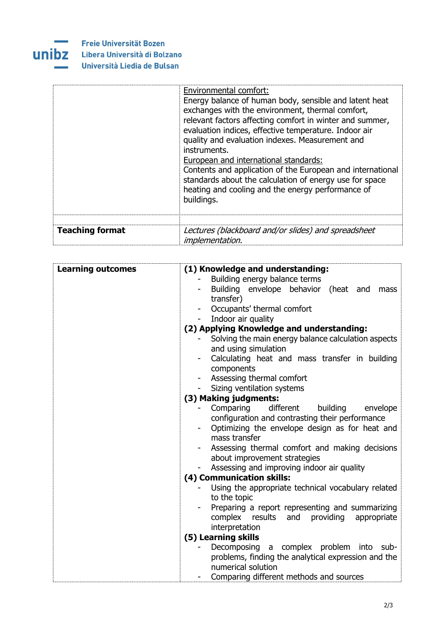

|                        | Environmental comfort:<br>Energy balance of human body, sensible and latent heat<br>exchanges with the environment, thermal comfort,<br>relevant factors affecting comfort in winter and summer,<br>evaluation indices, effective temperature. Indoor air<br>quality and evaluation indexes. Measurement and<br>instruments.<br>European and international standards:<br>Contents and application of the European and international<br>standards about the calculation of energy use for space<br>heating and cooling and the energy performance of<br>buildings. |
|------------------------|-------------------------------------------------------------------------------------------------------------------------------------------------------------------------------------------------------------------------------------------------------------------------------------------------------------------------------------------------------------------------------------------------------------------------------------------------------------------------------------------------------------------------------------------------------------------|
| <b>Teaching format</b> | Lectures (blackboard and/or slides) and spreadsheet<br><i>implementation.</i>                                                                                                                                                                                                                                                                                                                                                                                                                                                                                     |

| <b>Learning outcomes</b> | (1) Knowledge and understanding:                    |
|--------------------------|-----------------------------------------------------|
|                          | Building energy balance terms                       |
|                          | Building envelope behavior (heat and<br>mass        |
|                          | transfer)                                           |
|                          | Occupants' thermal comfort                          |
|                          | Indoor air quality                                  |
|                          | (2) Applying Knowledge and understanding:           |
|                          | Solving the main energy balance calculation aspects |
|                          | and using simulation                                |
|                          | Calculating heat and mass transfer in building      |
|                          | components                                          |
|                          | Assessing thermal comfort                           |
|                          | Sizing ventilation systems                          |
|                          | (3) Making judgments:                               |
|                          | different<br>Comparing<br>building<br>envelope      |
|                          | configuration and contrasting their performance     |
|                          | Optimizing the envelope design as for heat and      |
|                          | mass transfer                                       |
|                          | Assessing thermal comfort and making decisions      |
|                          | about improvement strategies                        |
|                          | Assessing and improving indoor air quality          |
|                          | (4) Communication skills:                           |
|                          | Using the appropriate technical vocabulary related  |
|                          | to the topic                                        |
|                          | Preparing a report representing and summarizing     |
|                          | complex results and providing<br>appropriate        |
|                          | interpretation                                      |
|                          | (5) Learning skills                                 |
|                          | Decomposing a complex problem into sub-             |
|                          | problems, finding the analytical expression and the |
|                          | numerical solution                                  |
|                          | Comparing different methods and sources             |